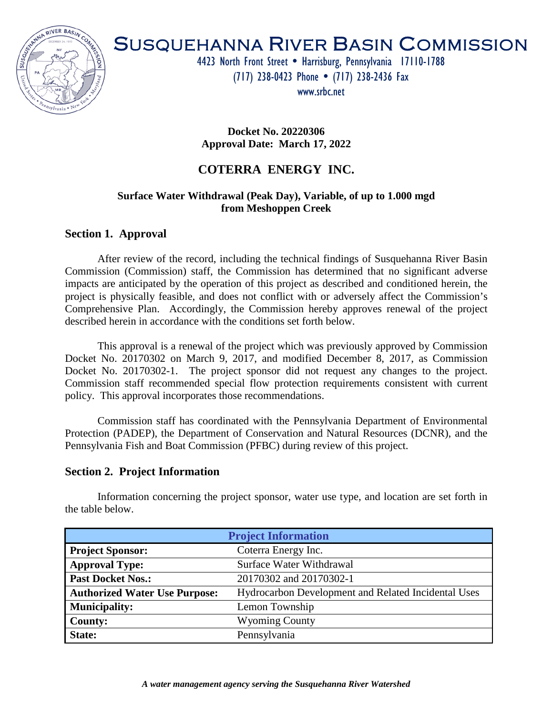

# SUSQUEHANNA RIVER BASIN COMMISSION

4423 North Front Street . Harrisburg, Pennsylvania 17110-1788 (717) 238-0423 Phone (717) 238-2436 Fax

www.srbc.net

**Docket No. 20220306 Approval Date: March 17, 2022**

# **COTERRA ENERGY INC.**

### **Surface Water Withdrawal (Peak Day), Variable, of up to 1.000 mgd from Meshoppen Creek**

## **Section 1. Approval**

After review of the record, including the technical findings of Susquehanna River Basin Commission (Commission) staff, the Commission has determined that no significant adverse impacts are anticipated by the operation of this project as described and conditioned herein, the project is physically feasible, and does not conflict with or adversely affect the Commission's Comprehensive Plan. Accordingly, the Commission hereby approves renewal of the project described herein in accordance with the conditions set forth below.

This approval is a renewal of the project which was previously approved by Commission Docket No. 20170302 on March 9, 2017, and modified December 8, 2017, as Commission Docket No. 20170302-1. The project sponsor did not request any changes to the project. Commission staff recommended special flow protection requirements consistent with current policy. This approval incorporates those recommendations.

Commission staff has coordinated with the Pennsylvania Department of Environmental Protection (PADEP), the Department of Conservation and Natural Resources (DCNR), and the Pennsylvania Fish and Boat Commission (PFBC) during review of this project.

#### **Section 2. Project Information**

Information concerning the project sponsor, water use type, and location are set forth in the table below.

| <b>Project Information</b>           |                                                     |  |  |  |
|--------------------------------------|-----------------------------------------------------|--|--|--|
| <b>Project Sponsor:</b>              | Coterra Energy Inc.                                 |  |  |  |
| <b>Approval Type:</b>                | Surface Water Withdrawal                            |  |  |  |
| <b>Past Docket Nos.:</b>             | 20170302 and 20170302-1                             |  |  |  |
| <b>Authorized Water Use Purpose:</b> | Hydrocarbon Development and Related Incidental Uses |  |  |  |
| <b>Municipality:</b>                 | Lemon Township                                      |  |  |  |
| <b>County:</b>                       | <b>Wyoming County</b>                               |  |  |  |
| State:                               | Pennsylvania                                        |  |  |  |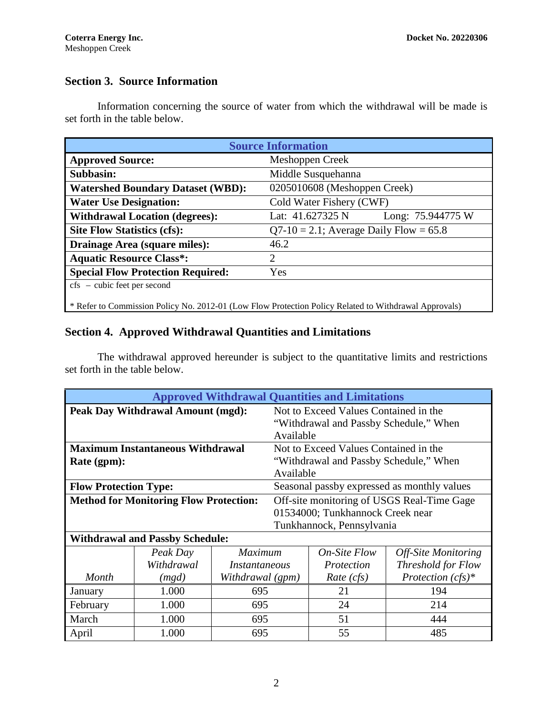# **Section 3. Source Information**

Information concerning the source of water from which the withdrawal will be made is set forth in the table below.

| <b>Source Information</b>                                                                             |                                           |                   |  |  |  |
|-------------------------------------------------------------------------------------------------------|-------------------------------------------|-------------------|--|--|--|
| <b>Approved Source:</b>                                                                               | Meshoppen Creek                           |                   |  |  |  |
| Subbasin:                                                                                             | Middle Susquehanna                        |                   |  |  |  |
| <b>Watershed Boundary Dataset (WBD):</b>                                                              | 0205010608 (Meshoppen Creek)              |                   |  |  |  |
| <b>Water Use Designation:</b>                                                                         | Cold Water Fishery (CWF)                  |                   |  |  |  |
| <b>Withdrawal Location (degrees):</b>                                                                 | Lat: $41.627325$ N                        | Long: 75.944775 W |  |  |  |
| <b>Site Flow Statistics (cfs):</b>                                                                    | $Q7-10 = 2.1$ ; Average Daily Flow = 65.8 |                   |  |  |  |
| Drainage Area (square miles):                                                                         | 46.2                                      |                   |  |  |  |
| <b>Aquatic Resource Class*:</b>                                                                       | $\overline{2}$                            |                   |  |  |  |
| <b>Special Flow Protection Required:</b>                                                              | Yes                                       |                   |  |  |  |
| $\frac{1}{2}$ - cubic feet per second                                                                 |                                           |                   |  |  |  |
| * Refer to Commission Policy No. 2012-01 (Low Flow Protection Policy Related to Withdrawal Approvals) |                                           |                   |  |  |  |

## **Section 4. Approved Withdrawal Quantities and Limitations**

The withdrawal approved hereunder is subject to the quantitative limits and restrictions set forth in the table below.

| <b>Approved Withdrawal Quantities and Limitations</b> |            |                                            |                                        |                                             |                            |  |
|-------------------------------------------------------|------------|--------------------------------------------|----------------------------------------|---------------------------------------------|----------------------------|--|
| <b>Peak Day Withdrawal Amount (mgd):</b>              |            |                                            | Not to Exceed Values Contained in the  |                                             |                            |  |
|                                                       |            |                                            | "Withdrawal and Passby Schedule," When |                                             |                            |  |
|                                                       |            |                                            | Available                              |                                             |                            |  |
| <b>Maximum Instantaneous Withdrawal</b>               |            |                                            | Not to Exceed Values Contained in the  |                                             |                            |  |
| Rate (gpm):                                           |            | "Withdrawal and Passby Schedule," When     |                                        |                                             |                            |  |
| Available                                             |            |                                            |                                        |                                             |                            |  |
| <b>Flow Protection Type:</b>                          |            |                                            |                                        | Seasonal passby expressed as monthly values |                            |  |
| <b>Method for Monitoring Flow Protection:</b>         |            | Off-site monitoring of USGS Real-Time Gage |                                        |                                             |                            |  |
| 01534000; Tunkhannock Creek near                      |            |                                            |                                        |                                             |                            |  |
| Tunkhannock, Pennsylvania                             |            |                                            |                                        |                                             |                            |  |
| <b>Withdrawal and Passby Schedule:</b>                |            |                                            |                                        |                                             |                            |  |
|                                                       | Peak Day   | <b>Maximum</b>                             |                                        | <i>On-Site Flow</i>                         | <b>Off-Site Monitoring</b> |  |
|                                                       | Withdrawal | Instantaneous                              |                                        | Protection                                  | Threshold for Flow         |  |
| Month                                                 | (mgd)      | Withdrawal (gpm)                           |                                        | Rate (cfs)                                  | Protection $(cfs)^*$       |  |
| January                                               | 1.000      | 695                                        |                                        | 21                                          | 194                        |  |
| February                                              | 1.000      | 695                                        |                                        | 24                                          | 214                        |  |
| March                                                 | 1.000      | 695                                        |                                        | 51                                          | 444                        |  |
| April                                                 | 1.000      | 695                                        |                                        | 55                                          | 485                        |  |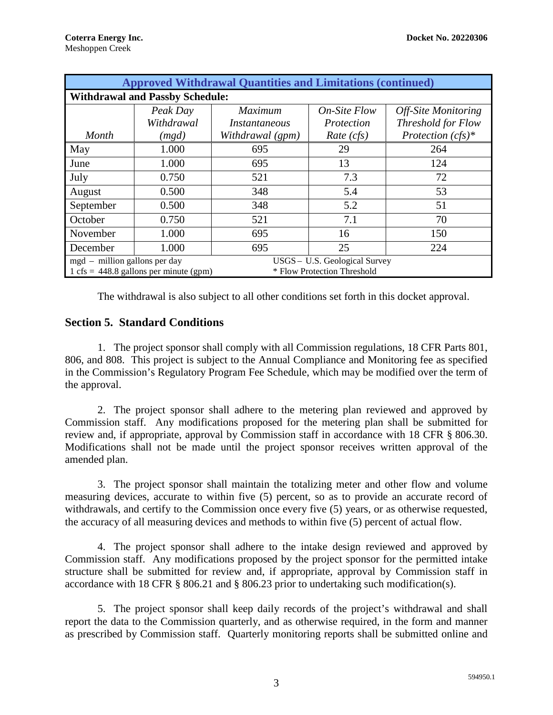| <b>Approved Withdrawal Quantities and Limitations (continued)</b>                       |            |                      |                     |                      |  |  |  |
|-----------------------------------------------------------------------------------------|------------|----------------------|---------------------|----------------------|--|--|--|
| <b>Withdrawal and Passby Schedule:</b>                                                  |            |                      |                     |                      |  |  |  |
|                                                                                         | Peak Day   | <b>Maximum</b>       | <b>On-Site Flow</b> | Off-Site Monitoring  |  |  |  |
|                                                                                         | Withdrawal | <i>Instantaneous</i> | Protection          | Threshold for Flow   |  |  |  |
| Month                                                                                   | (mgd)      | Withdrawal (gpm)     | Rate (cfs)          | Protection $(cfs)^*$ |  |  |  |
| May                                                                                     | 1.000      | 695                  | 29                  | 264                  |  |  |  |
| June                                                                                    | 1.000      | 695                  | 13                  | 124                  |  |  |  |
| July                                                                                    | 0.750      | 521                  | 7.3                 | 72                   |  |  |  |
| August                                                                                  | 0.500      | 348                  | 5.4                 | 53                   |  |  |  |
| September                                                                               | 0.500      | 348                  | 5.2                 | 51                   |  |  |  |
| October                                                                                 | 0.750      | 521                  | 7.1                 | 70                   |  |  |  |
| November                                                                                | 1.000      | 695                  | 16                  | 150                  |  |  |  |
| December                                                                                | 1.000      | 695                  | 25                  | 224                  |  |  |  |
| USGS - U.S. Geological Survey<br>mgd – million gallons per day                          |            |                      |                     |                      |  |  |  |
| * Flow Protection Threshold<br>$1 \text{ cfs} = 448.8 \text{ gallons per minute (gpm)}$ |            |                      |                     |                      |  |  |  |

The withdrawal is also subject to all other conditions set forth in this docket approval.

## **Section 5. Standard Conditions**

1. The project sponsor shall comply with all Commission regulations, 18 CFR Parts 801, 806, and 808. This project is subject to the Annual Compliance and Monitoring fee as specified in the Commission's Regulatory Program Fee Schedule, which may be modified over the term of the approval.

2. The project sponsor shall adhere to the metering plan reviewed and approved by Commission staff. Any modifications proposed for the metering plan shall be submitted for review and, if appropriate, approval by Commission staff in accordance with 18 CFR § 806.30. Modifications shall not be made until the project sponsor receives written approval of the amended plan.

3. The project sponsor shall maintain the totalizing meter and other flow and volume measuring devices, accurate to within five (5) percent, so as to provide an accurate record of withdrawals, and certify to the Commission once every five (5) years, or as otherwise requested, the accuracy of all measuring devices and methods to within five (5) percent of actual flow.

4. The project sponsor shall adhere to the intake design reviewed and approved by Commission staff. Any modifications proposed by the project sponsor for the permitted intake structure shall be submitted for review and, if appropriate, approval by Commission staff in accordance with 18 CFR § 806.21 and § 806.23 prior to undertaking such modification(s).

5. The project sponsor shall keep daily records of the project's withdrawal and shall report the data to the Commission quarterly, and as otherwise required, in the form and manner as prescribed by Commission staff. Quarterly monitoring reports shall be submitted online and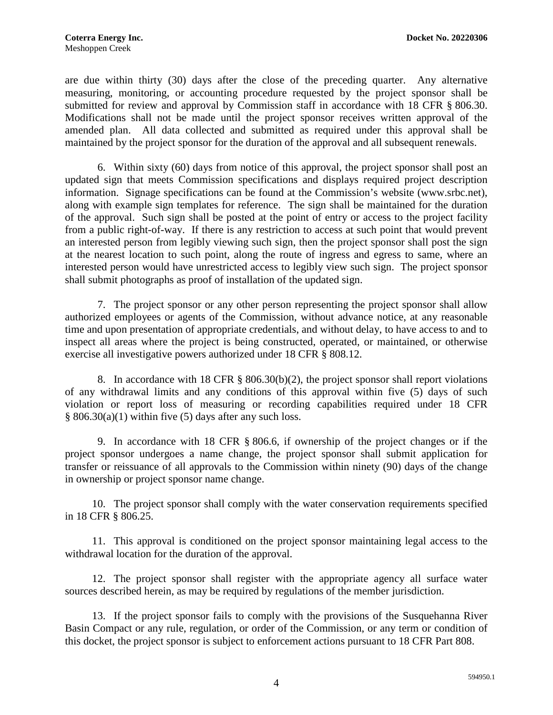are due within thirty (30) days after the close of the preceding quarter. Any alternative measuring, monitoring, or accounting procedure requested by the project sponsor shall be submitted for review and approval by Commission staff in accordance with 18 CFR § 806.30. Modifications shall not be made until the project sponsor receives written approval of the amended plan. All data collected and submitted as required under this approval shall be maintained by the project sponsor for the duration of the approval and all subsequent renewals.

6. Within sixty (60) days from notice of this approval, the project sponsor shall post an updated sign that meets Commission specifications and displays required project description information. Signage specifications can be found at the Commission's website (www.srbc.net), along with example sign templates for reference. The sign shall be maintained for the duration of the approval. Such sign shall be posted at the point of entry or access to the project facility from a public right-of-way. If there is any restriction to access at such point that would prevent an interested person from legibly viewing such sign, then the project sponsor shall post the sign at the nearest location to such point, along the route of ingress and egress to same, where an interested person would have unrestricted access to legibly view such sign. The project sponsor shall submit photographs as proof of installation of the updated sign.

7. The project sponsor or any other person representing the project sponsor shall allow authorized employees or agents of the Commission, without advance notice, at any reasonable time and upon presentation of appropriate credentials, and without delay, to have access to and to inspect all areas where the project is being constructed, operated, or maintained, or otherwise exercise all investigative powers authorized under 18 CFR § 808.12.

8. In accordance with 18 CFR § 806.30(b)(2), the project sponsor shall report violations of any withdrawal limits and any conditions of this approval within five (5) days of such violation or report loss of measuring or recording capabilities required under 18 CFR  $§ 806.30(a)(1)$  within five (5) days after any such loss.

9. In accordance with 18 CFR § 806.6, if ownership of the project changes or if the project sponsor undergoes a name change, the project sponsor shall submit application for transfer or reissuance of all approvals to the Commission within ninety (90) days of the change in ownership or project sponsor name change.

10. The project sponsor shall comply with the water conservation requirements specified in 18 CFR § 806.25.

11. This approval is conditioned on the project sponsor maintaining legal access to the withdrawal location for the duration of the approval.

12. The project sponsor shall register with the appropriate agency all surface water sources described herein, as may be required by regulations of the member jurisdiction.

13. If the project sponsor fails to comply with the provisions of the Susquehanna River Basin Compact or any rule, regulation, or order of the Commission, or any term or condition of this docket, the project sponsor is subject to enforcement actions pursuant to 18 CFR Part 808.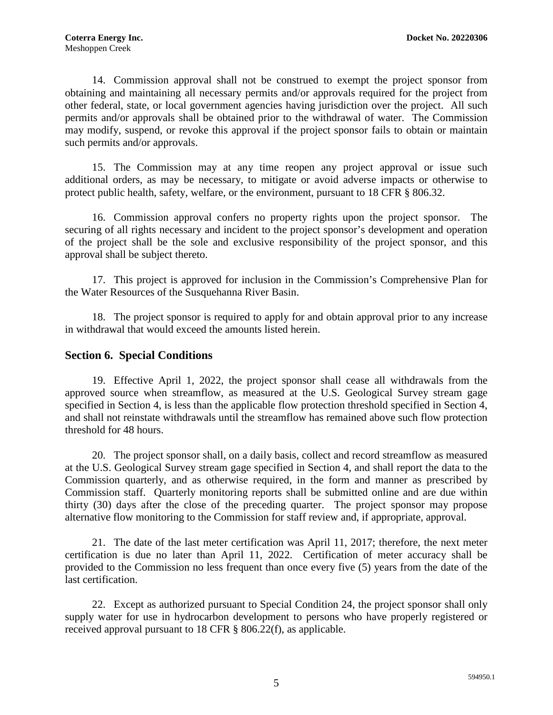14. Commission approval shall not be construed to exempt the project sponsor from obtaining and maintaining all necessary permits and/or approvals required for the project from other federal, state, or local government agencies having jurisdiction over the project. All such permits and/or approvals shall be obtained prior to the withdrawal of water. The Commission may modify, suspend, or revoke this approval if the project sponsor fails to obtain or maintain such permits and/or approvals.

15. The Commission may at any time reopen any project approval or issue such additional orders, as may be necessary, to mitigate or avoid adverse impacts or otherwise to protect public health, safety, welfare, or the environment, pursuant to 18 CFR § 806.32.

16. Commission approval confers no property rights upon the project sponsor. The securing of all rights necessary and incident to the project sponsor's development and operation of the project shall be the sole and exclusive responsibility of the project sponsor, and this approval shall be subject thereto.

17. This project is approved for inclusion in the Commission's Comprehensive Plan for the Water Resources of the Susquehanna River Basin.

18. The project sponsor is required to apply for and obtain approval prior to any increase in withdrawal that would exceed the amounts listed herein.

#### **Section 6. Special Conditions**

19. Effective April 1, 2022, the project sponsor shall cease all withdrawals from the approved source when streamflow, as measured at the U.S. Geological Survey stream gage specified in Section 4, is less than the applicable flow protection threshold specified in Section 4, and shall not reinstate withdrawals until the streamflow has remained above such flow protection threshold for 48 hours.

20. The project sponsor shall, on a daily basis, collect and record streamflow as measured at the U.S. Geological Survey stream gage specified in Section 4, and shall report the data to the Commission quarterly, and as otherwise required, in the form and manner as prescribed by Commission staff. Quarterly monitoring reports shall be submitted online and are due within thirty (30) days after the close of the preceding quarter. The project sponsor may propose alternative flow monitoring to the Commission for staff review and, if appropriate, approval.

21. The date of the last meter certification was April 11, 2017; therefore, the next meter certification is due no later than April 11, 2022. Certification of meter accuracy shall be provided to the Commission no less frequent than once every five (5) years from the date of the last certification.

22. Except as authorized pursuant to Special Condition 24, the project sponsor shall only supply water for use in hydrocarbon development to persons who have properly registered or received approval pursuant to 18 CFR § 806.22(f), as applicable.